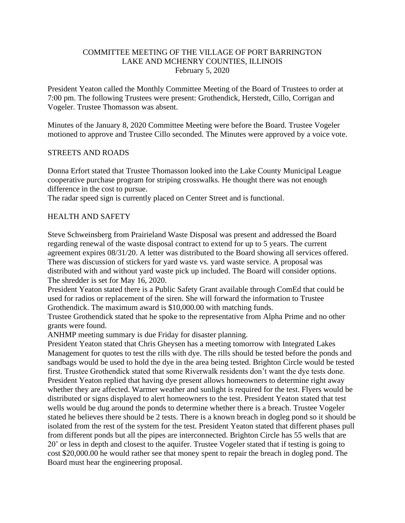# COMMITTEE MEETING OF THE VILLAGE OF PORT BARRINGTON LAKE AND MCHENRY COUNTIES, ILLINOIS February 5, 2020

President Yeaton called the Monthly Committee Meeting of the Board of Trustees to order at 7:00 pm. The following Trustees were present: Grothendick, Herstedt, Cillo, Corrigan and Vogeler. Trustee Thomasson was absent.

Minutes of the January 8, 2020 Committee Meeting were before the Board. Trustee Vogeler motioned to approve and Trustee Cillo seconded. The Minutes were approved by a voice vote.

## STREETS AND ROADS

Donna Erfort stated that Trustee Thomasson looked into the Lake County Municipal League cooperative purchase program for striping crosswalks. He thought there was not enough difference in the cost to pursue.

The radar speed sign is currently placed on Center Street and is functional.

### HEALTH AND SAFETY

Steve Schweinsberg from Prairieland Waste Disposal was present and addressed the Board regarding renewal of the waste disposal contract to extend for up to 5 years. The current agreement expires 08/31/20. A letter was distributed to the Board showing all services offered. There was discussion of stickers for yard waste vs. yard waste service. A proposal was distributed with and without yard waste pick up included. The Board will consider options. The shredder is set for May 16, 2020.

President Yeaton stated there is a Public Safety Grant available through ComEd that could be used for radios or replacement of the siren. She will forward the information to Trustee Grothendick. The maximum award is \$10,000.00 with matching funds.

Trustee Grothendick stated that he spoke to the representative from Alpha Prime and no other grants were found.

ANHMP meeting summary is due Friday for disaster planning.

President Yeaton stated that Chris Gheysen has a meeting tomorrow with Integrated Lakes Management for quotes to test the rills with dye. The rills should be tested before the ponds and sandbags would be used to hold the dye in the area being tested. Brighton Circle would be tested first. Trustee Grothendick stated that some Riverwalk residents don't want the dye tests done. President Yeaton replied that having dye present allows homeowners to determine right away whether they are affected. Warmer weather and sunlight is required for the test. Flyers would be distributed or signs displayed to alert homeowners to the test. President Yeaton stated that test wells would be dug around the ponds to determine whether there is a breach. Trustee Vogeler stated he believes there should be 2 tests. There is a known breach in dogleg pond so it should be isolated from the rest of the system for the test. President Yeaton stated that different phases pull from different ponds but all the pipes are interconnected. Brighton Circle has 55 wells that are 20' or less in depth and closest to the aquifer. Trustee Vogeler stated that if testing is going to cost \$20,000.00 he would rather see that money spent to repair the breach in dogleg pond. The Board must hear the engineering proposal.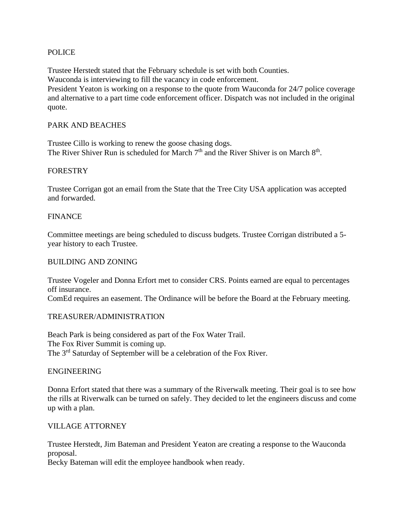## POLICE

Trustee Herstedt stated that the February schedule is set with both Counties. Wauconda is interviewing to fill the vacancy in code enforcement. President Yeaton is working on a response to the quote from Wauconda for 24/7 police coverage

and alternative to a part time code enforcement officer. Dispatch was not included in the original quote.

## PARK AND BEACHES

Trustee Cillo is working to renew the goose chasing dogs. The River Shiver Run is scheduled for March  $7<sup>th</sup>$  and the River Shiver is on March  $8<sup>th</sup>$ .

### FORESTRY

Trustee Corrigan got an email from the State that the Tree City USA application was accepted and forwarded.

### FINANCE

Committee meetings are being scheduled to discuss budgets. Trustee Corrigan distributed a 5 year history to each Trustee.

### BUILDING AND ZONING

Trustee Vogeler and Donna Erfort met to consider CRS. Points earned are equal to percentages off insurance. ComEd requires an easement. The Ordinance will be before the Board at the February meeting.

# TREASURER/ADMINISTRATION

Beach Park is being considered as part of the Fox Water Trail. The Fox River Summit is coming up. The 3<sup>rd</sup> Saturday of September will be a celebration of the Fox River.

### ENGINEERING

Donna Erfort stated that there was a summary of the Riverwalk meeting. Their goal is to see how the rills at Riverwalk can be turned on safely. They decided to let the engineers discuss and come up with a plan.

### VILLAGE ATTORNEY

Trustee Herstedt, Jim Bateman and President Yeaton are creating a response to the Wauconda proposal.

Becky Bateman will edit the employee handbook when ready.